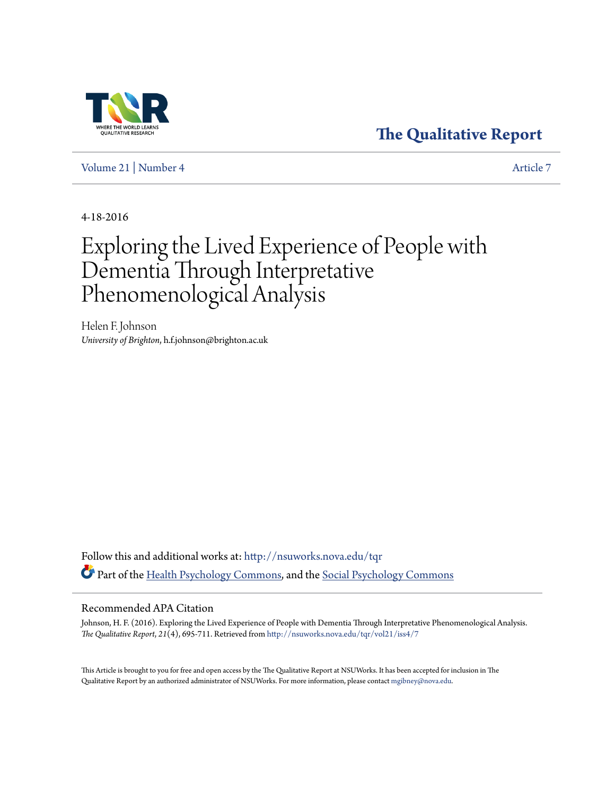## **The Qualitative Report**

Volume 21 | Number 4 Article 7

4-18-2016

# Exploring the Lived Experience of People with Dementia Through Interpretative Phenomenological Analysis

Helen F. Johnson *University of Brighton*, h.f.johnson@brighton.ac.uk

Follow this and additional works at: http://nsuworks.nova.edu/tqr Part of the Health Psychology Commons, and the Social Psychology Commons

#### Recommended APA Citation

Johnson, H. F. (2016). Exploring the Lived Experience of People with Dementia Through Interpretative Phenomenological Analysis. *The Qualitative Report*, *21*(4), 695-711. Retrieved from http://nsuworks.nova.edu/tqr/vol21/iss4/7

This Article is brought to you for free and open access by the The Qualitative Report at NSUWorks. It has been accepted for inclusion in The Qualitative Report by an authorized administrator of NSUWorks. For more information, please contact mgibney@nova.edu.

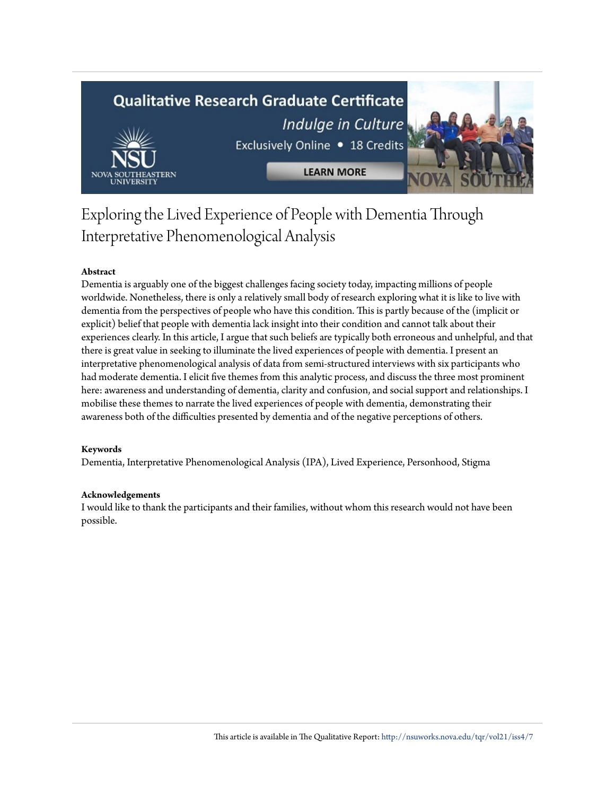## **Qualitative Research Graduate Certificate**



Indulge in Culture Exclusively Online . 18 Credits

**LEARN MORE** 

## Exploring the Lived Experience of People with Dementia Through Interpretative Phenomenological Analysis

## **Abstract**

Dementia is arguably one of the biggest challenges facing society today, impacting millions of people worldwide. Nonetheless, there is only a relatively small body of research exploring what it is like to live with dementia from the perspectives of people who have this condition. This is partly because of the (implicit or explicit) belief that people with dementia lack insight into their condition and cannot talk about their experiences clearly. In this article, I argue that such beliefs are typically both erroneous and unhelpful, and that there is great value in seeking to illuminate the lived experiences of people with dementia. I present an interpretative phenomenological analysis of data from semi-structured interviews with six participants who had moderate dementia. I elicit five themes from this analytic process, and discuss the three most prominent here: awareness and understanding of dementia, clarity and confusion, and social support and relationships. I mobilise these themes to narrate the lived experiences of people with dementia, demonstrating their awareness both of the difficulties presented by dementia and of the negative perceptions of others.

## **Keywords**

Dementia, Interpretative Phenomenological Analysis (IPA), Lived Experience, Personhood, Stigma

#### **Acknowledgements**

I would like to thank the participants and their families, without whom this research would not have been possible.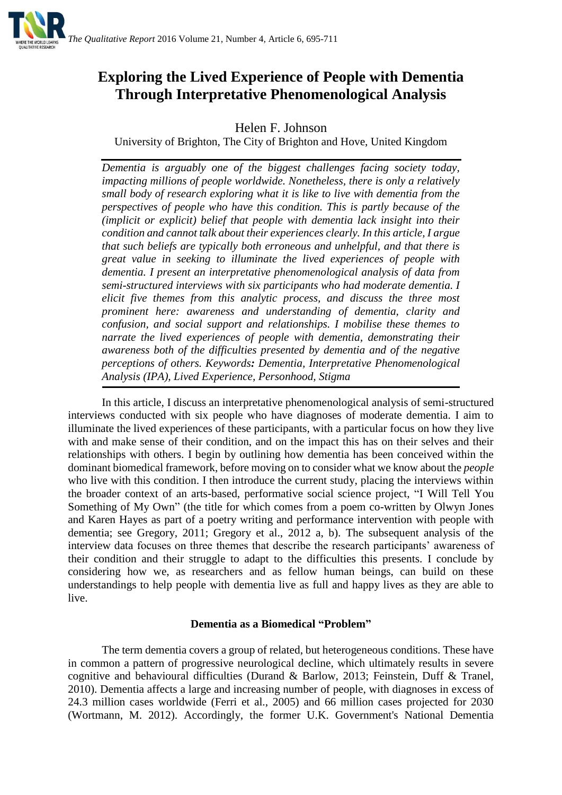

## **Exploring the Lived Experience of People with Dementia Through Interpretative Phenomenological Analysis**

Helen F. Johnson

University of Brighton, The City of Brighton and Hove, United Kingdom

*Dementia is arguably one of the biggest challenges facing society today, impacting millions of people worldwide. Nonetheless, there is only a relatively small body of research exploring what it is like to live with dementia from the perspectives of people who have this condition. This is partly because of the (implicit or explicit) belief that people with dementia lack insight into their condition and cannot talk about their experiences clearly. In this article, I argue that such beliefs are typically both erroneous and unhelpful, and that there is great value in seeking to illuminate the lived experiences of people with dementia. I present an interpretative phenomenological analysis of data from semi-structured interviews with six participants who had moderate dementia. I elicit five themes from this analytic process, and discuss the three most prominent here: awareness and understanding of dementia, clarity and confusion, and social support and relationships. I mobilise these themes to narrate the lived experiences of people with dementia, demonstrating their awareness both of the difficulties presented by dementia and of the negative perceptions of others. Keywords: Dementia, Interpretative Phenomenological Analysis (IPA), Lived Experience, Personhood, Stigma*

In this article, I discuss an interpretative phenomenological analysis of semi-structured interviews conducted with six people who have diagnoses of moderate dementia. I aim to illuminate the lived experiences of these participants, with a particular focus on how they live with and make sense of their condition, and on the impact this has on their selves and their relationships with others. I begin by outlining how dementia has been conceived within the dominant biomedical framework, before moving on to consider what we know about the *people* who live with this condition. I then introduce the current study, placing the interviews within the broader context of an arts-based, performative social science project, "I Will Tell You Something of My Own" (the title for which comes from a poem co-written by Olwyn Jones and Karen Hayes as part of a poetry writing and performance intervention with people with dementia; see Gregory, 2011; Gregory et al., 2012 a, b). The subsequent analysis of the interview data focuses on three themes that describe the research participants' awareness of their condition and their struggle to adapt to the difficulties this presents. I conclude by considering how we, as researchers and as fellow human beings, can build on these understandings to help people with dementia live as full and happy lives as they are able to live.

## **Dementia as a Biomedical "Problem"**

The term dementia covers a group of related, but heterogeneous conditions. These have in common a pattern of progressive neurological decline, which ultimately results in severe cognitive and behavioural difficulties (Durand & Barlow, 2013; Feinstein, Duff & Tranel, 2010). Dementia affects a large and increasing number of people, with diagnoses in excess of 24.3 million cases worldwide (Ferri et al., 2005) and 66 million cases projected for 2030 (Wortmann, M. 2012). Accordingly, the former U.K. Government's National Dementia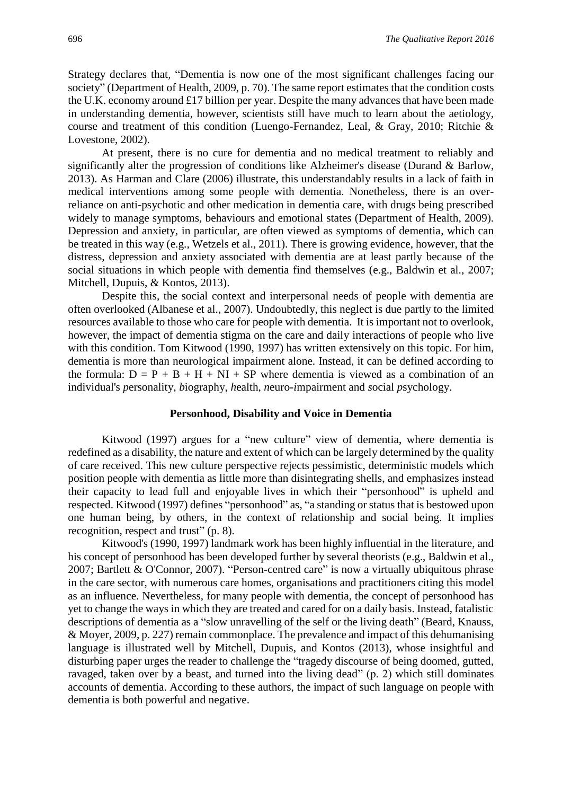Strategy declares that*,* "Dementia is now one of the most significant challenges facing our society" (Department of Health, 2009, p. 70). The same report estimates that the condition costs the U.K. economy around £17 billion per year. Despite the many advances that have been made in understanding dementia, however, scientists still have much to learn about the aetiology, course and treatment of this condition (Luengo-Fernandez, Leal, & Gray, 2010; Ritchie & Lovestone, 2002).

At present, there is no cure for dementia and no medical treatment to reliably and significantly alter the progression of conditions like Alzheimer's disease (Durand & Barlow, 2013). As Harman and Clare (2006) illustrate, this understandably results in a lack of faith in medical interventions among some people with dementia. Nonetheless, there is an overreliance on anti-psychotic and other medication in dementia care, with drugs being prescribed widely to manage symptoms, behaviours and emotional states (Department of Health, 2009). Depression and anxiety, in particular, are often viewed as symptoms of dementia, which can be treated in this way (e.g., Wetzels et al., 2011). There is growing evidence, however, that the distress, depression and anxiety associated with dementia are at least partly because of the social situations in which people with dementia find themselves (e.g., Baldwin et al., 2007; Mitchell, Dupuis, & Kontos, 2013).

Despite this, the social context and interpersonal needs of people with dementia are often overlooked (Albanese et al., 2007). Undoubtedly, this neglect is due partly to the limited resources available to those who care for people with dementia. It is important not to overlook, however, the impact of dementia stigma on the care and daily interactions of people who live with this condition. Tom Kitwood (1990, 1997) has written extensively on this topic. For him, dementia is more than neurological impairment alone. Instead, it can be defined according to the formula:  $D = P + B + H + NI + SP$  where dementia is viewed as a combination of an individual's *p*ersonality, *b*iography, *h*ealth, *n*euro-*i*mpairment and *s*ocial *p*sychology.

#### **Personhood, Disability and Voice in Dementia**

Kitwood (1997) argues for a "new culture" view of dementia, where dementia is redefined as a disability, the nature and extent of which can be largely determined by the quality of care received. This new culture perspective rejects pessimistic, deterministic models which position people with dementia as little more than disintegrating shells, and emphasizes instead their capacity to lead full and enjoyable lives in which their "personhood" is upheld and respected. Kitwood (1997) defines "personhood" as, "a standing or status that is bestowed upon one human being, by others, in the context of relationship and social being. It implies recognition, respect and trust" (p. 8).

Kitwood's (1990, 1997) landmark work has been highly influential in the literature, and his concept of personhood has been developed further by several theorists (e.g., Baldwin et al., 2007; Bartlett & O'Connor, 2007). "Person-centred care" is now a virtually ubiquitous phrase in the care sector, with numerous care homes, organisations and practitioners citing this model as an influence. Nevertheless, for many people with dementia, the concept of personhood has yet to change the ways in which they are treated and cared for on a daily basis. Instead, fatalistic descriptions of dementia as a "slow unravelling of the self or the living death" (Beard, Knauss, & Moyer, 2009, p. 227) remain commonplace. The prevalence and impact of this dehumanising language is illustrated well by Mitchell, Dupuis, and Kontos (2013), whose insightful and disturbing paper urges the reader to challenge the "tragedy discourse of being doomed, gutted, ravaged, taken over by a beast, and turned into the living dead" (p. 2) which still dominates accounts of dementia. According to these authors, the impact of such language on people with dementia is both powerful and negative.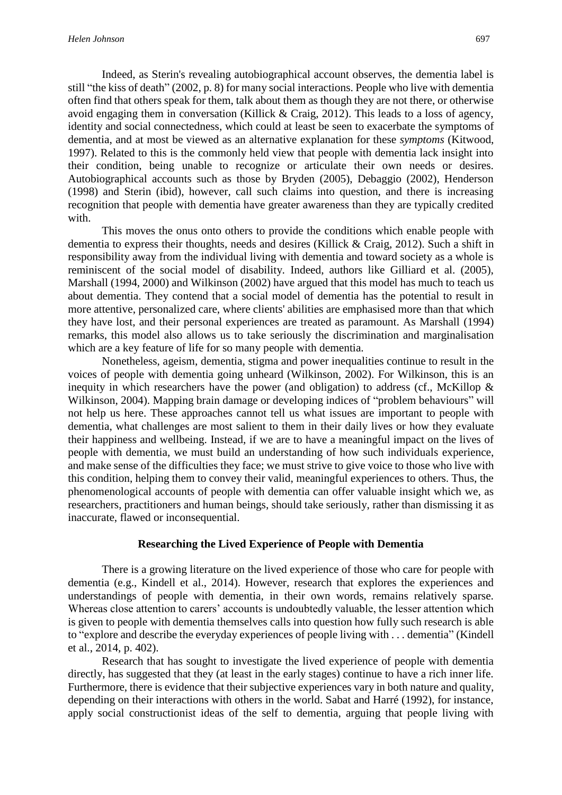Indeed, as Sterin's revealing autobiographical account observes, the dementia label is still "the kiss of death" (2002, p. 8) for many social interactions. People who live with dementia often find that others speak for them, talk about them as though they are not there, or otherwise avoid engaging them in conversation (Killick & Craig, 2012). This leads to a loss of agency, identity and social connectedness, which could at least be seen to exacerbate the symptoms of dementia, and at most be viewed as an alternative explanation for these *symptoms* (Kitwood, 1997). Related to this is the commonly held view that people with dementia lack insight into their condition, being unable to recognize or articulate their own needs or desires. Autobiographical accounts such as those by Bryden (2005), Debaggio (2002), Henderson (1998) and Sterin (ibid), however, call such claims into question, and there is increasing recognition that people with dementia have greater awareness than they are typically credited with.

This moves the onus onto others to provide the conditions which enable people with dementia to express their thoughts, needs and desires (Killick & Craig, 2012). Such a shift in responsibility away from the individual living with dementia and toward society as a whole is reminiscent of the social model of disability. Indeed, authors like Gilliard et al. (2005), Marshall (1994, 2000) and Wilkinson (2002) have argued that this model has much to teach us about dementia. They contend that a social model of dementia has the potential to result in more attentive, personalized care, where clients' abilities are emphasised more than that which they have lost, and their personal experiences are treated as paramount. As Marshall (1994) remarks, this model also allows us to take seriously the discrimination and marginalisation which are a key feature of life for so many people with dementia.

Nonetheless, ageism, dementia, stigma and power inequalities continue to result in the voices of people with dementia going unheard (Wilkinson, 2002). For Wilkinson, this is an inequity in which researchers have the power (and obligation) to address (cf., McKillop  $\&$ Wilkinson, 2004). Mapping brain damage or developing indices of "problem behaviours" will not help us here. These approaches cannot tell us what issues are important to people with dementia, what challenges are most salient to them in their daily lives or how they evaluate their happiness and wellbeing. Instead, if we are to have a meaningful impact on the lives of people with dementia, we must build an understanding of how such individuals experience, and make sense of the difficulties they face; we must strive to give voice to those who live with this condition, helping them to convey their valid, meaningful experiences to others. Thus, the phenomenological accounts of people with dementia can offer valuable insight which we, as researchers, practitioners and human beings, should take seriously, rather than dismissing it as inaccurate, flawed or inconsequential.

### **Researching the Lived Experience of People with Dementia**

There is a growing literature on the lived experience of those who care for people with dementia (e.g., Kindell et al., 2014). However, research that explores the experiences and understandings of people with dementia, in their own words, remains relatively sparse. Whereas close attention to carers' accounts is undoubtedly valuable, the lesser attention which is given to people with dementia themselves calls into question how fully such research is able to "explore and describe the everyday experiences of people living with . . . dementia" (Kindell et al., 2014, p. 402).

Research that has sought to investigate the lived experience of people with dementia directly, has suggested that they (at least in the early stages) continue to have a rich inner life. Furthermore, there is evidence that their subjective experiences vary in both nature and quality, depending on their interactions with others in the world. Sabat and Harré (1992), for instance, apply social constructionist ideas of the self to dementia, arguing that people living with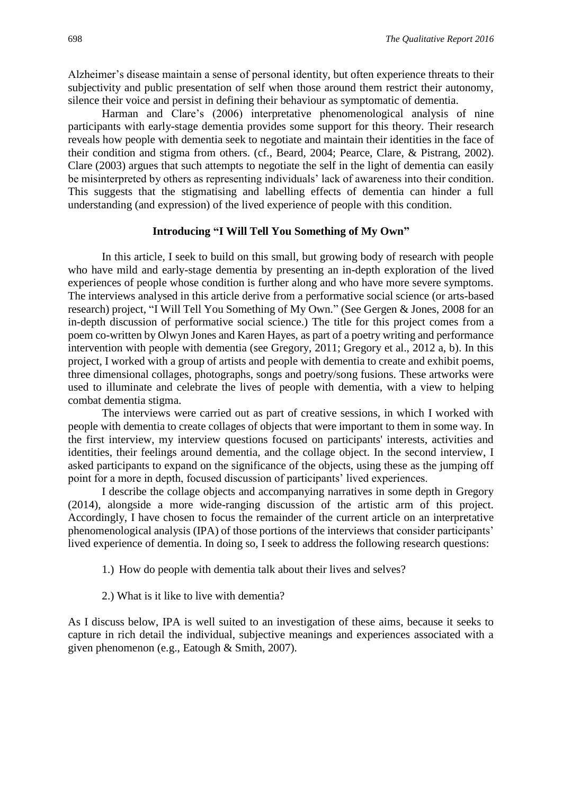Alzheimer's disease maintain a sense of personal identity, but often experience threats to their subjectivity and public presentation of self when those around them restrict their autonomy, silence their voice and persist in defining their behaviour as symptomatic of dementia.

Harman and Clare's (2006) interpretative phenomenological analysis of nine participants with early-stage dementia provides some support for this theory. Their research reveals how people with dementia seek to negotiate and maintain their identities in the face of their condition and stigma from others. (cf., Beard, 2004; Pearce, Clare, & Pistrang, 2002). Clare (2003) argues that such attempts to negotiate the self in the light of dementia can easily be misinterpreted by others as representing individuals' lack of awareness into their condition. This suggests that the stigmatising and labelling effects of dementia can hinder a full understanding (and expression) of the lived experience of people with this condition.

#### **Introducing "I Will Tell You Something of My Own"**

In this article, I seek to build on this small, but growing body of research with people who have mild and early-stage dementia by presenting an in-depth exploration of the lived experiences of people whose condition is further along and who have more severe symptoms. The interviews analysed in this article derive from a performative social science (or arts-based research) project, "I Will Tell You Something of My Own." (See Gergen & Jones, 2008 for an in-depth discussion of performative social science.) The title for this project comes from a poem co-written by Olwyn Jones and Karen Hayes, as part of a poetry writing and performance intervention with people with dementia (see Gregory, 2011; Gregory et al., 2012 a, b). In this project, I worked with a group of artists and people with dementia to create and exhibit poems, three dimensional collages, photographs, songs and poetry/song fusions. These artworks were used to illuminate and celebrate the lives of people with dementia, with a view to helping combat dementia stigma.

The interviews were carried out as part of creative sessions, in which I worked with people with dementia to create collages of objects that were important to them in some way. In the first interview, my interview questions focused on participants' interests, activities and identities, their feelings around dementia, and the collage object. In the second interview, I asked participants to expand on the significance of the objects, using these as the jumping off point for a more in depth, focused discussion of participants' lived experiences.

I describe the collage objects and accompanying narratives in some depth in Gregory (2014), alongside a more wide-ranging discussion of the artistic arm of this project. Accordingly, I have chosen to focus the remainder of the current article on an interpretative phenomenological analysis (IPA) of those portions of the interviews that consider participants' lived experience of dementia. In doing so, I seek to address the following research questions:

- 1.) How do people with dementia talk about their lives and selves?
- 2.) What is it like to live with dementia?

As I discuss below, IPA is well suited to an investigation of these aims, because it seeks to capture in rich detail the individual, subjective meanings and experiences associated with a given phenomenon (e.g., Eatough & Smith, 2007).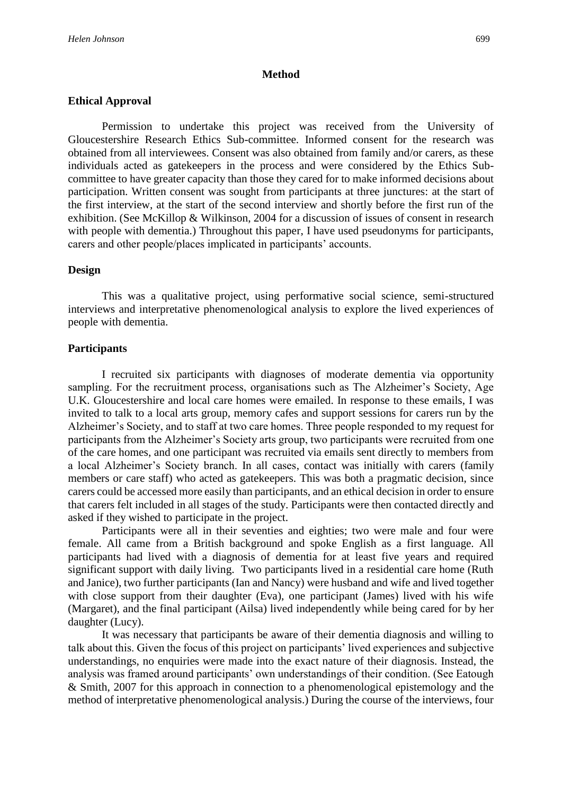#### **Method**

#### **Ethical Approval**

Permission to undertake this project was received from the University of Gloucestershire Research Ethics Sub-committee. Informed consent for the research was obtained from all interviewees. Consent was also obtained from family and/or carers, as these individuals acted as gatekeepers in the process and were considered by the Ethics Subcommittee to have greater capacity than those they cared for to make informed decisions about participation. Written consent was sought from participants at three junctures: at the start of the first interview, at the start of the second interview and shortly before the first run of the exhibition. (See McKillop & Wilkinson, 2004 for a discussion of issues of consent in research with people with dementia.) Throughout this paper, I have used pseudonyms for participants, carers and other people/places implicated in participants' accounts.

#### **Design**

This was a qualitative project, using performative social science, semi-structured interviews and interpretative phenomenological analysis to explore the lived experiences of people with dementia.

#### **Participants**

I recruited six participants with diagnoses of moderate dementia via opportunity sampling. For the recruitment process, organisations such as The Alzheimer's Society, Age U.K. Gloucestershire and local care homes were emailed. In response to these emails, I was invited to talk to a local arts group, memory cafes and support sessions for carers run by the Alzheimer's Society, and to staff at two care homes. Three people responded to my request for participants from the Alzheimer's Society arts group, two participants were recruited from one of the care homes, and one participant was recruited via emails sent directly to members from a local Alzheimer's Society branch. In all cases, contact was initially with carers (family members or care staff) who acted as gatekeepers. This was both a pragmatic decision, since carers could be accessed more easily than participants, and an ethical decision in order to ensure that carers felt included in all stages of the study. Participants were then contacted directly and asked if they wished to participate in the project.

Participants were all in their seventies and eighties; two were male and four were female. All came from a British background and spoke English as a first language. All participants had lived with a diagnosis of dementia for at least five years and required significant support with daily living. Two participants lived in a residential care home (Ruth and Janice), two further participants (Ian and Nancy) were husband and wife and lived together with close support from their daughter (Eva), one participant (James) lived with his wife (Margaret), and the final participant (Ailsa) lived independently while being cared for by her daughter (Lucy).

It was necessary that participants be aware of their dementia diagnosis and willing to talk about this. Given the focus of this project on participants' lived experiences and subjective understandings, no enquiries were made into the exact nature of their diagnosis. Instead, the analysis was framed around participants' own understandings of their condition. (See Eatough & Smith, 2007 for this approach in connection to a phenomenological epistemology and the method of interpretative phenomenological analysis.) During the course of the interviews, four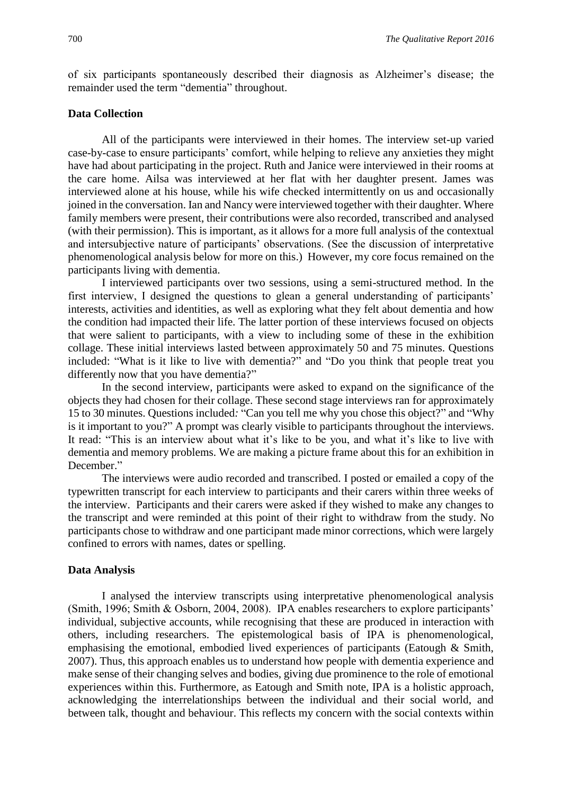of six participants spontaneously described their diagnosis as Alzheimer's disease; the remainder used the term "dementia" throughout.

#### **Data Collection**

All of the participants were interviewed in their homes. The interview set-up varied case-by-case to ensure participants' comfort, while helping to relieve any anxieties they might have had about participating in the project. Ruth and Janice were interviewed in their rooms at the care home. Ailsa was interviewed at her flat with her daughter present. James was interviewed alone at his house, while his wife checked intermittently on us and occasionally joined in the conversation. Ian and Nancy were interviewed together with their daughter. Where family members were present, their contributions were also recorded, transcribed and analysed (with their permission). This is important, as it allows for a more full analysis of the contextual and intersubjective nature of participants' observations. (See the discussion of interpretative phenomenological analysis below for more on this.) However, my core focus remained on the participants living with dementia.

I interviewed participants over two sessions, using a semi-structured method. In the first interview, I designed the questions to glean a general understanding of participants' interests, activities and identities, as well as exploring what they felt about dementia and how the condition had impacted their life. The latter portion of these interviews focused on objects that were salient to participants, with a view to including some of these in the exhibition collage. These initial interviews lasted between approximately 50 and 75 minutes. Questions included: "What is it like to live with dementia?" and "Do you think that people treat you differently now that you have dementia?"

In the second interview, participants were asked to expand on the significance of the objects they had chosen for their collage. These second stage interviews ran for approximately 15 to 30 minutes. Questions included*:* "Can you tell me why you chose this object?" and "Why is it important to you?" A prompt was clearly visible to participants throughout the interviews. It read: "This is an interview about what it's like to be you, and what it's like to live with dementia and memory problems. We are making a picture frame about this for an exhibition in December."

The interviews were audio recorded and transcribed. I posted or emailed a copy of the typewritten transcript for each interview to participants and their carers within three weeks of the interview. Participants and their carers were asked if they wished to make any changes to the transcript and were reminded at this point of their right to withdraw from the study. No participants chose to withdraw and one participant made minor corrections, which were largely confined to errors with names, dates or spelling.

#### **Data Analysis**

I analysed the interview transcripts using interpretative phenomenological analysis (Smith, 1996; Smith & Osborn, 2004, 2008). IPA enables researchers to explore participants' individual, subjective accounts, while recognising that these are produced in interaction with others, including researchers. The epistemological basis of IPA is phenomenological, emphasising the emotional, embodied lived experiences of participants (Eatough & Smith, 2007). Thus, this approach enables us to understand how people with dementia experience and make sense of their changing selves and bodies, giving due prominence to the role of emotional experiences within this. Furthermore, as Eatough and Smith note, IPA is a holistic approach, acknowledging the interrelationships between the individual and their social world, and between talk, thought and behaviour. This reflects my concern with the social contexts within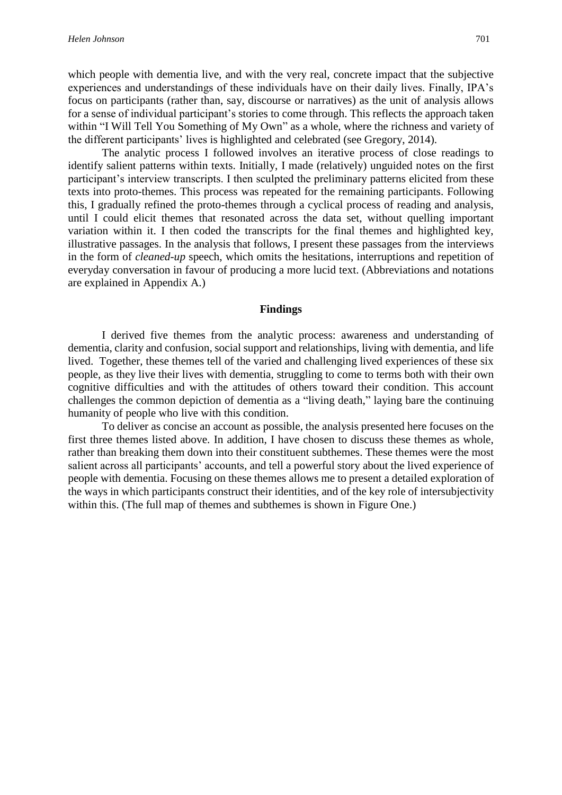which people with dementia live, and with the very real, concrete impact that the subjective experiences and understandings of these individuals have on their daily lives. Finally, IPA's focus on participants (rather than, say, discourse or narratives) as the unit of analysis allows for a sense of individual participant's stories to come through. This reflects the approach taken within "I Will Tell You Something of My Own" as a whole, where the richness and variety of the different participants' lives is highlighted and celebrated (see Gregory, 2014).

The analytic process I followed involves an iterative process of close readings to identify salient patterns within texts. Initially, I made (relatively) unguided notes on the first participant's interview transcripts. I then sculpted the preliminary patterns elicited from these texts into proto-themes. This process was repeated for the remaining participants. Following this, I gradually refined the proto-themes through a cyclical process of reading and analysis, until I could elicit themes that resonated across the data set, without quelling important variation within it. I then coded the transcripts for the final themes and highlighted key, illustrative passages. In the analysis that follows, I present these passages from the interviews in the form of *cleaned-up* speech, which omits the hesitations, interruptions and repetition of everyday conversation in favour of producing a more lucid text. (Abbreviations and notations are explained in Appendix A.)

#### **Findings**

I derived five themes from the analytic process: awareness and understanding of dementia, clarity and confusion, social support and relationships, living with dementia, and life lived. Together, these themes tell of the varied and challenging lived experiences of these six people, as they live their lives with dementia, struggling to come to terms both with their own cognitive difficulties and with the attitudes of others toward their condition. This account challenges the common depiction of dementia as a "living death," laying bare the continuing humanity of people who live with this condition.

To deliver as concise an account as possible, the analysis presented here focuses on the first three themes listed above. In addition, I have chosen to discuss these themes as whole, rather than breaking them down into their constituent subthemes. These themes were the most salient across all participants' accounts, and tell a powerful story about the lived experience of people with dementia. Focusing on these themes allows me to present a detailed exploration of the ways in which participants construct their identities, and of the key role of intersubjectivity within this. (The full map of themes and subthemes is shown in Figure One.)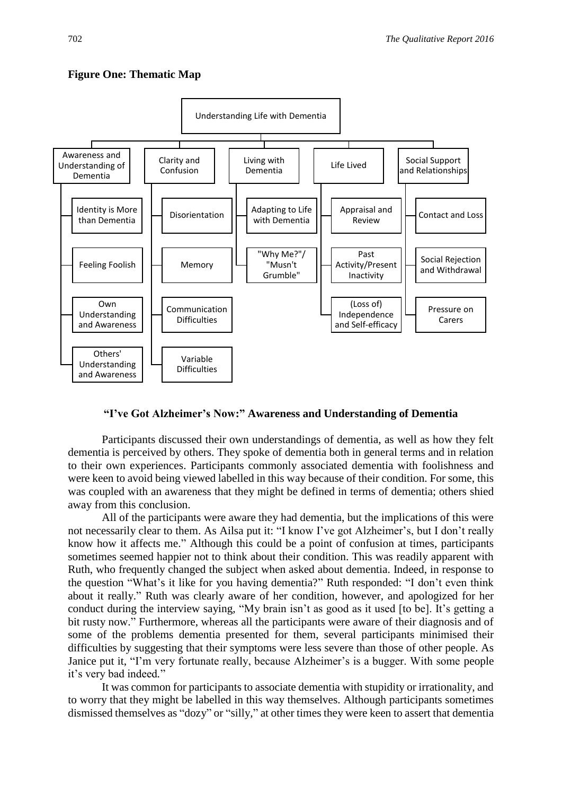

### **Figure One: Thematic Map**

#### **"I've Got Alzheimer's Now:" Awareness and Understanding of Dementia**

Participants discussed their own understandings of dementia, as well as how they felt dementia is perceived by others. They spoke of dementia both in general terms and in relation to their own experiences. Participants commonly associated dementia with foolishness and were keen to avoid being viewed labelled in this way because of their condition. For some, this was coupled with an awareness that they might be defined in terms of dementia; others shied away from this conclusion.

All of the participants were aware they had dementia, but the implications of this were not necessarily clear to them. As Ailsa put it: "I know I've got Alzheimer's, but I don't really know how it affects me." Although this could be a point of confusion at times, participants sometimes seemed happier not to think about their condition. This was readily apparent with Ruth, who frequently changed the subject when asked about dementia. Indeed, in response to the question "What's it like for you having dementia?" Ruth responded: "I don't even think about it really." Ruth was clearly aware of her condition, however, and apologized for her conduct during the interview saying, "My brain isn't as good as it used [to be]. It's getting a bit rusty now." Furthermore, whereas all the participants were aware of their diagnosis and of some of the problems dementia presented for them, several participants minimised their difficulties by suggesting that their symptoms were less severe than those of other people. As Janice put it, "I'm very fortunate really, because Alzheimer's is a bugger. With some people it's very bad indeed*.*"

It was common for participants to associate dementia with stupidity or irrationality, and to worry that they might be labelled in this way themselves. Although participants sometimes dismissed themselves as "dozy" or "silly*,*" at other times they were keen to assert that dementia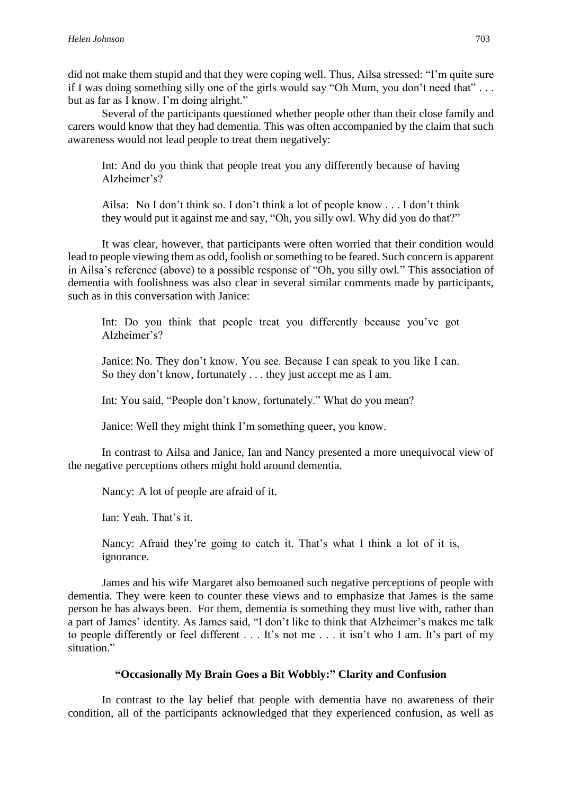did not make them stupid and that they were coping well. Thus, Ailsa stressed: "I'm quite sure if I was doing something silly one of the girls would say "Oh Mum, you don't need that" . . . but as far as I know. I'm doing alright."

Several of the participants questioned whether people other than their close family and carers would know that they had dementia. This was often accompanied by the claim that such awareness would not lead people to treat them negatively:

Int: And do you think that people treat you any differently because of having Alzheimer's?

Ailsa: No I don't think so. I don't think a lot of people know . . . I don't think they would put it against me and say, "Oh, you silly owl. Why did you do that?"

It was clear, however, that participants were often worried that their condition would lead to people viewing them as odd, foolish or something to be feared. Such concern is apparent in Ailsa's reference (above) to a possible response of "Oh, you silly owl*.*" This association of dementia with foolishness was also clear in several similar comments made by participants, such as in this conversation with Janice:

Int: Do you think that people treat you differently because you've got Alzheimer's?

Janice: No. They don't know. You see. Because I can speak to you like I can. So they don't know, fortunately . . . they just accept me as I am.

Int: You said, "People don't know, fortunately." What do you mean?

Janice: Well they might think I'm something queer, you know.

In contrast to Ailsa and Janice, Ian and Nancy presented a more unequivocal view of the negative perceptions others might hold around dementia.

Nancy: A lot of people are afraid of it.

Ian: Yeah. That's it.

Nancy: Afraid they're going to catch it. That's what I think a lot of it is, ignorance.

James and his wife Margaret also bemoaned such negative perceptions of people with dementia. They were keen to counter these views and to emphasize that James is the same person he has always been. For them, dementia is something they must live with, rather than a part of James' identity. As James said, "I don't like to think that Alzheimer's makes me talk to people differently or feel different . . . It's not me . . . it isn't who I am. It's part of my situation."

## **"Occasionally My Brain Goes a Bit Wobbly:" Clarity and Confusion**

In contrast to the lay belief that people with dementia have no awareness of their condition, all of the participants acknowledged that they experienced confusion, as well as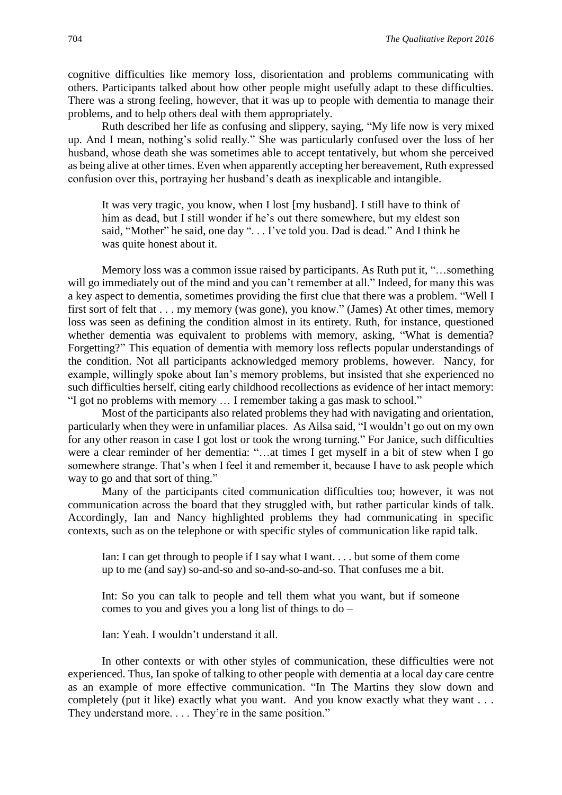cognitive difficulties like memory loss, disorientation and problems communicating with others. Participants talked about how other people might usefully adapt to these difficulties. There was a strong feeling, however, that it was up to people with dementia to manage their problems, and to help others deal with them appropriately.

Ruth described her life as confusing and slippery, saying, "My life now is very mixed up. And I mean, nothing's solid really." She was particularly confused over the loss of her husband, whose death she was sometimes able to accept tentatively, but whom she perceived as being alive at other times. Even when apparently accepting her bereavement, Ruth expressed confusion over this, portraying her husband's death as inexplicable and intangible.

It was very tragic, you know, when I lost [my husband]. I still have to think of him as dead, but I still wonder if he's out there somewhere, but my eldest son said, "Mother" he said, one day ". . . I've told you. Dad is dead." And I think he was quite honest about it.

Memory loss was a common issue raised by participants. As Ruth put it, "…something will go immediately out of the mind and you can't remember at all." Indeed, for many this was a key aspect to dementia, sometimes providing the first clue that there was a problem. "Well I first sort of felt that . . . my memory (was gone), you know." (James) At other times, memory loss was seen as defining the condition almost in its entirety. Ruth, for instance, questioned whether dementia was equivalent to problems with memory, asking, "What is dementia? Forgetting?" This equation of dementia with memory loss reflects popular understandings of the condition. Not all participants acknowledged memory problems, however. Nancy, for example, willingly spoke about Ian's memory problems, but insisted that she experienced no such difficulties herself, citing early childhood recollections as evidence of her intact memory: "I got no problems with memory … I remember taking a gas mask to school."

Most of the participants also related problems they had with navigating and orientation, particularly when they were in unfamiliar places. As Ailsa said, "I wouldn't go out on my own for any other reason in case I got lost or took the wrong turning." For Janice, such difficulties were a clear reminder of her dementia: "…at times I get myself in a bit of stew when I go somewhere strange. That's when I feel it and remember it, because I have to ask people which way to go and that sort of thing."

Many of the participants cited communication difficulties too; however, it was not communication across the board that they struggled with, but rather particular kinds of talk. Accordingly, Ian and Nancy highlighted problems they had communicating in specific contexts, such as on the telephone or with specific styles of communication like rapid talk.

Ian: I can get through to people if I say what I want. . . . but some of them come up to me (and say) so-and-so and so-and-so-and-so. That confuses me a bit.

Int: So you can talk to people and tell them what you want, but if someone comes to you and gives you a long list of things to do –

Ian: Yeah. I wouldn't understand it all.

In other contexts or with other styles of communication, these difficulties were not experienced. Thus, Ian spoke of talking to other people with dementia at a local day care centre as an example of more effective communication. "In The Martins they slow down and completely (put it like) exactly what you want. And you know exactly what they want . . . They understand more. . . . They're in the same position."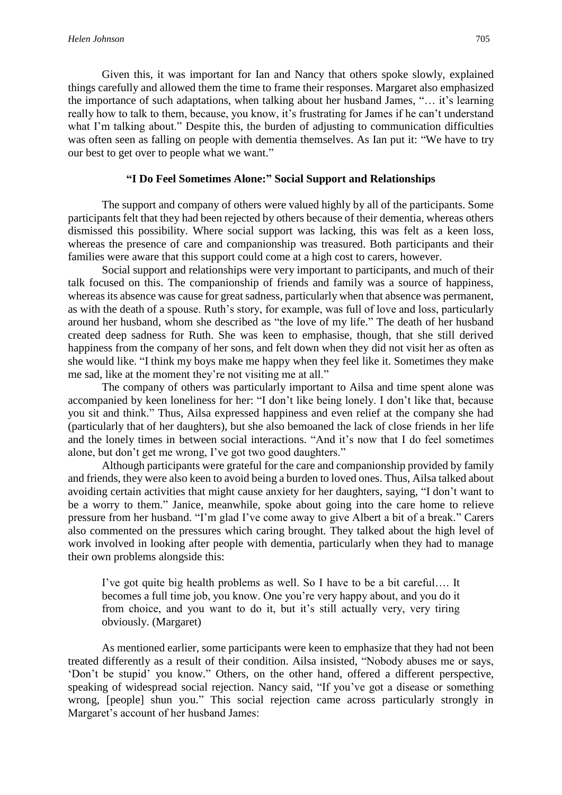Given this, it was important for Ian and Nancy that others spoke slowly, explained things carefully and allowed them the time to frame their responses. Margaret also emphasized the importance of such adaptations, when talking about her husband James, "… it's learning really how to talk to them, because, you know, it's frustrating for James if he can't understand what I'm talking about." Despite this, the burden of adjusting to communication difficulties was often seen as falling on people with dementia themselves. As Ian put it: "We have to try our best to get over to people what we want."

#### **"I Do Feel Sometimes Alone:" Social Support and Relationships**

The support and company of others were valued highly by all of the participants. Some participants felt that they had been rejected by others because of their dementia, whereas others dismissed this possibility. Where social support was lacking, this was felt as a keen loss, whereas the presence of care and companionship was treasured. Both participants and their families were aware that this support could come at a high cost to carers, however.

Social support and relationships were very important to participants, and much of their talk focused on this. The companionship of friends and family was a source of happiness, whereas its absence was cause for great sadness, particularly when that absence was permanent, as with the death of a spouse. Ruth's story, for example, was full of love and loss, particularly around her husband, whom she described as "the love of my life." The death of her husband created deep sadness for Ruth. She was keen to emphasise, though, that she still derived happiness from the company of her sons, and felt down when they did not visit her as often as she would like. "I think my boys make me happy when they feel like it. Sometimes they make me sad, like at the moment they're not visiting me at all."

The company of others was particularly important to Ailsa and time spent alone was accompanied by keen loneliness for her: "I don't like being lonely. I don't like that, because you sit and think." Thus, Ailsa expressed happiness and even relief at the company she had (particularly that of her daughters), but she also bemoaned the lack of close friends in her life and the lonely times in between social interactions. "And it's now that I do feel sometimes alone, but don't get me wrong, I've got two good daughters."

Although participants were grateful for the care and companionship provided by family and friends, they were also keen to avoid being a burden to loved ones. Thus, Ailsa talked about avoiding certain activities that might cause anxiety for her daughters, saying, "I don't want to be a worry to them." Janice, meanwhile, spoke about going into the care home to relieve pressure from her husband. "I'm glad I've come away to give Albert a bit of a break." Carers also commented on the pressures which caring brought. They talked about the high level of work involved in looking after people with dementia, particularly when they had to manage their own problems alongside this:

I've got quite big health problems as well. So I have to be a bit careful…. It becomes a full time job, you know. One you're very happy about, and you do it from choice, and you want to do it, but it's still actually very, very tiring obviously. (Margaret)

As mentioned earlier, some participants were keen to emphasize that they had not been treated differently as a result of their condition. Ailsa insisted, "Nobody abuses me or says, 'Don't be stupid' you know." Others, on the other hand, offered a different perspective, speaking of widespread social rejection. Nancy said, "If you've got a disease or something wrong, [people] shun you." This social rejection came across particularly strongly in Margaret's account of her husband James: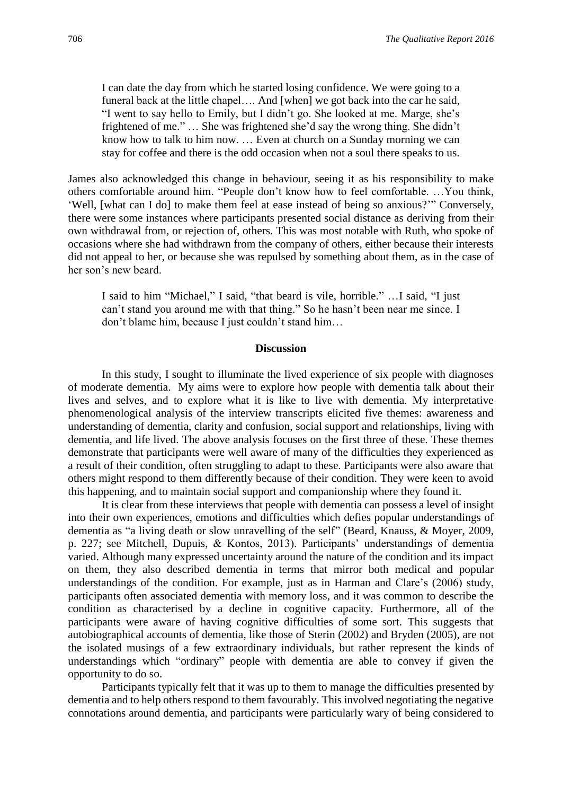I can date the day from which he started losing confidence. We were going to a funeral back at the little chapel…. And [when] we got back into the car he said, "I went to say hello to Emily, but I didn't go. She looked at me. Marge, she's frightened of me." … She was frightened she'd say the wrong thing. She didn't know how to talk to him now. … Even at church on a Sunday morning we can stay for coffee and there is the odd occasion when not a soul there speaks to us.

James also acknowledged this change in behaviour, seeing it as his responsibility to make others comfortable around him. "People don't know how to feel comfortable. …You think, 'Well, [what can I do] to make them feel at ease instead of being so anxious?'" Conversely, there were some instances where participants presented social distance as deriving from their own withdrawal from, or rejection of, others. This was most notable with Ruth, who spoke of occasions where she had withdrawn from the company of others, either because their interests did not appeal to her, or because she was repulsed by something about them, as in the case of her son's new beard.

I said to him "Michael," I said, "that beard is vile, horrible." …I said, "I just can't stand you around me with that thing." So he hasn't been near me since. I don't blame him, because I just couldn't stand him…

#### **Discussion**

In this study, I sought to illuminate the lived experience of six people with diagnoses of moderate dementia. My aims were to explore how people with dementia talk about their lives and selves, and to explore what it is like to live with dementia. My interpretative phenomenological analysis of the interview transcripts elicited five themes: awareness and understanding of dementia, clarity and confusion, social support and relationships, living with dementia, and life lived. The above analysis focuses on the first three of these. These themes demonstrate that participants were well aware of many of the difficulties they experienced as a result of their condition, often struggling to adapt to these. Participants were also aware that others might respond to them differently because of their condition. They were keen to avoid this happening, and to maintain social support and companionship where they found it.

It is clear from these interviews that people with dementia can possess a level of insight into their own experiences, emotions and difficulties which defies popular understandings of dementia as "a living death or slow unravelling of the self" (Beard, Knauss, & Moyer, 2009, p. 227; see Mitchell, Dupuis, & Kontos, 2013). Participants' understandings of dementia varied. Although many expressed uncertainty around the nature of the condition and its impact on them, they also described dementia in terms that mirror both medical and popular understandings of the condition. For example, just as in Harman and Clare's (2006) study, participants often associated dementia with memory loss, and it was common to describe the condition as characterised by a decline in cognitive capacity. Furthermore, all of the participants were aware of having cognitive difficulties of some sort. This suggests that autobiographical accounts of dementia, like those of Sterin (2002) and Bryden (2005), are not the isolated musings of a few extraordinary individuals, but rather represent the kinds of understandings which "ordinary" people with dementia are able to convey if given the opportunity to do so.

Participants typically felt that it was up to them to manage the difficulties presented by dementia and to help others respond to them favourably. This involved negotiating the negative connotations around dementia, and participants were particularly wary of being considered to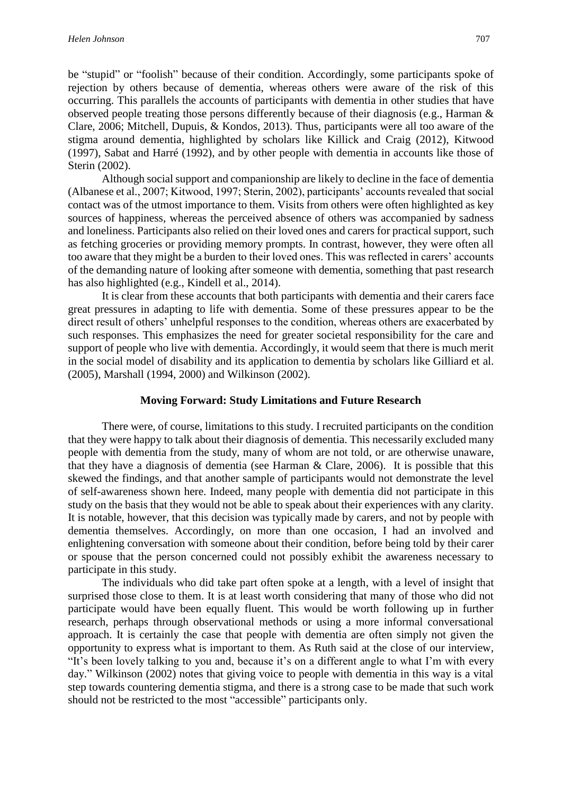be "stupid" or "foolish" because of their condition. Accordingly, some participants spoke of rejection by others because of dementia, whereas others were aware of the risk of this occurring. This parallels the accounts of participants with dementia in other studies that have observed people treating those persons differently because of their diagnosis (e.g., Harman & Clare, 2006; Mitchell, Dupuis, & Kondos, 2013). Thus, participants were all too aware of the stigma around dementia, highlighted by scholars like Killick and Craig (2012), Kitwood (1997), Sabat and Harré (1992), and by other people with dementia in accounts like those of Sterin (2002).

Although social support and companionship are likely to decline in the face of dementia (Albanese et al., 2007; Kitwood, 1997; Sterin, 2002), participants' accounts revealed that social contact was of the utmost importance to them. Visits from others were often highlighted as key sources of happiness, whereas the perceived absence of others was accompanied by sadness and loneliness. Participants also relied on their loved ones and carers for practical support, such as fetching groceries or providing memory prompts. In contrast, however, they were often all too aware that they might be a burden to their loved ones. This was reflected in carers' accounts of the demanding nature of looking after someone with dementia, something that past research has also highlighted (e.g., Kindell et al., 2014).

It is clear from these accounts that both participants with dementia and their carers face great pressures in adapting to life with dementia. Some of these pressures appear to be the direct result of others' unhelpful responses to the condition, whereas others are exacerbated by such responses. This emphasizes the need for greater societal responsibility for the care and support of people who live with dementia. Accordingly, it would seem that there is much merit in the social model of disability and its application to dementia by scholars like Gilliard et al. (2005), Marshall (1994, 2000) and Wilkinson (2002).

#### **Moving Forward: Study Limitations and Future Research**

There were, of course, limitations to this study. I recruited participants on the condition that they were happy to talk about their diagnosis of dementia. This necessarily excluded many people with dementia from the study, many of whom are not told, or are otherwise unaware, that they have a diagnosis of dementia (see Harman & Clare, 2006). It is possible that this skewed the findings, and that another sample of participants would not demonstrate the level of self-awareness shown here. Indeed, many people with dementia did not participate in this study on the basis that they would not be able to speak about their experiences with any clarity. It is notable, however, that this decision was typically made by carers, and not by people with dementia themselves. Accordingly, on more than one occasion, I had an involved and enlightening conversation with someone about their condition, before being told by their carer or spouse that the person concerned could not possibly exhibit the awareness necessary to participate in this study.

The individuals who did take part often spoke at a length, with a level of insight that surprised those close to them. It is at least worth considering that many of those who did not participate would have been equally fluent. This would be worth following up in further research, perhaps through observational methods or using a more informal conversational approach. It is certainly the case that people with dementia are often simply not given the opportunity to express what is important to them. As Ruth said at the close of our interview, "It's been lovely talking to you and, because it's on a different angle to what I'm with every day." Wilkinson (2002) notes that giving voice to people with dementia in this way is a vital step towards countering dementia stigma, and there is a strong case to be made that such work should not be restricted to the most "accessible" participants only.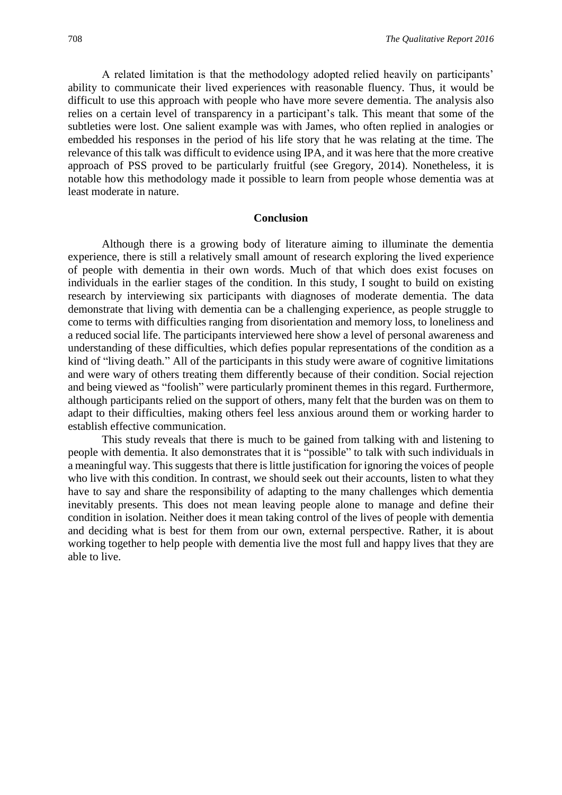A related limitation is that the methodology adopted relied heavily on participants' ability to communicate their lived experiences with reasonable fluency. Thus, it would be difficult to use this approach with people who have more severe dementia. The analysis also relies on a certain level of transparency in a participant's talk. This meant that some of the subtleties were lost. One salient example was with James, who often replied in analogies or embedded his responses in the period of his life story that he was relating at the time. The relevance of this talk was difficult to evidence using IPA, and it was here that the more creative approach of PSS proved to be particularly fruitful (see Gregory, 2014). Nonetheless, it is notable how this methodology made it possible to learn from people whose dementia was at least moderate in nature.

#### **Conclusion**

Although there is a growing body of literature aiming to illuminate the dementia experience, there is still a relatively small amount of research exploring the lived experience of people with dementia in their own words. Much of that which does exist focuses on individuals in the earlier stages of the condition. In this study, I sought to build on existing research by interviewing six participants with diagnoses of moderate dementia. The data demonstrate that living with dementia can be a challenging experience, as people struggle to come to terms with difficulties ranging from disorientation and memory loss, to loneliness and a reduced social life. The participants interviewed here show a level of personal awareness and understanding of these difficulties, which defies popular representations of the condition as a kind of "living death*.*" All of the participants in this study were aware of cognitive limitations and were wary of others treating them differently because of their condition. Social rejection and being viewed as "foolish" were particularly prominent themes in this regard. Furthermore, although participants relied on the support of others, many felt that the burden was on them to adapt to their difficulties, making others feel less anxious around them or working harder to establish effective communication.

This study reveals that there is much to be gained from talking with and listening to people with dementia. It also demonstrates that it is "possible" to talk with such individuals in a meaningful way. This suggests that there is little justification for ignoring the voices of people who live with this condition. In contrast, we should seek out their accounts, listen to what they have to say and share the responsibility of adapting to the many challenges which dementia inevitably presents. This does not mean leaving people alone to manage and define their condition in isolation. Neither does it mean taking control of the lives of people with dementia and deciding what is best for them from our own, external perspective. Rather, it is about working together to help people with dementia live the most full and happy lives that they are able to live.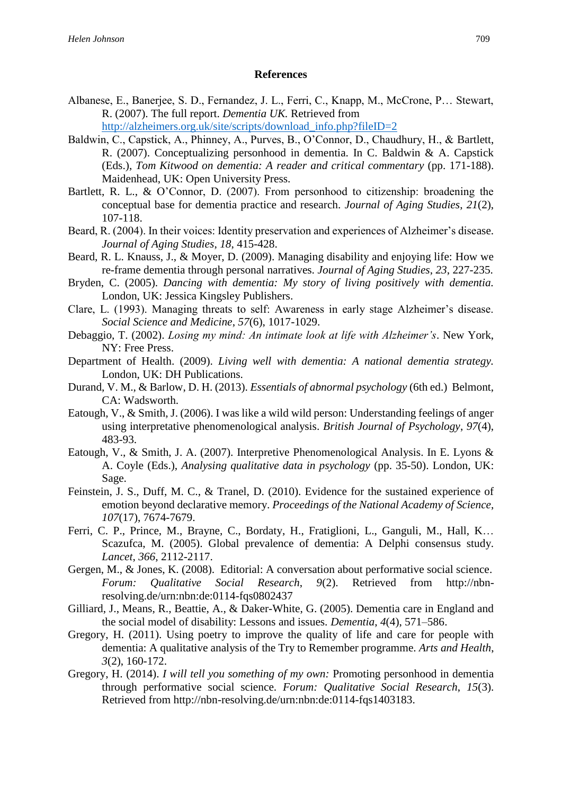## **References**

- Albanese, E., Banerjee, S. D., Fernandez, J. L., Ferri, C., Knapp, M., McCrone, P… Stewart, R. (2007). The full report. *Dementia UK.* Retrieved from http://alzheimers.org.uk/site/scripts/download\_info.php?fileID=2
- Baldwin, C., Capstick, A., Phinney, A., Purves, B., O'Connor, D., Chaudhury, H., & Bartlett, R. (2007). Conceptualizing personhood in dementia. In C. Baldwin & A. Capstick (Eds.), *Tom Kitwood on dementia: A reader and critical commentary* (pp. 171-188). Maidenhead, UK: Open University Press.
- Bartlett, R. L., & O'Connor, D. (2007). From personhood to citizenship: broadening the conceptual base for dementia practice and research. *Journal of Aging Studies*, *21*(2), 107-118.
- Beard, R. (2004). In their voices: Identity preservation and experiences of Alzheimer's disease. *Journal of Aging Studies*, *18*, 415-428.
- Beard, R. L. Knauss, J., & Moyer, D. (2009). Managing disability and enjoying life: How we re-frame dementia through personal narratives. *Journal of Aging Studies*, *23*, 227-235.
- Bryden, C. (2005). *Dancing with dementia: My story of living positively with dementia.* London, UK: Jessica Kingsley Publishers.
- Clare, L. (1993). Managing threats to self: Awareness in early stage Alzheimer's disease. *Social Science and Medicine*, *57*(6), 1017-1029.
- Debaggio, T. (2002). *Losing my mind: An intimate look at life with Alzheimer's*. New York, NY: Free Press.
- Department of Health. (2009). *Living well with dementia: A national dementia strategy.*  London, UK: DH Publications.
- Durand, V. M., & Barlow, D. H. (2013). *Essentials of abnormal psychology* (6th ed.) Belmont, CA: Wadsworth.
- Eatough, V., & Smith, J. (2006). I was like a wild wild person: Understanding feelings of anger using interpretative phenomenological analysis. *British Journal of Psychology*, *97*(4), 483-93.
- Eatough, V., & Smith, J. A. (2007). Interpretive Phenomenological Analysis. In E. Lyons & A. Coyle (Eds.), *Analysing qualitative data in psychology* (pp. 35-50). London, UK: Sage.
- Feinstein, J. S., Duff, M. C., & Tranel, D. (2010). Evidence for the sustained experience of emotion beyond declarative memory. *Proceedings of the National Academy of Science*, *107*(17), 7674-7679.
- Ferri, C. P., Prince, M., Brayne, C., Bordaty, H., Fratiglioni, L., Ganguli, M., Hall, K… Scazufca, M. (2005). Global prevalence of dementia: A Delphi consensus study. *Lancet*, *366*, 2112-2117.
- Gergen, M., & Jones, K. (2008). Editorial: A conversation about performative social science. *Forum: Qualitative Social Research*, *9*(2). Retrieved from http://nbnresolving.de/urn:nbn:de:0114-fqs0802437
- Gilliard, J., Means, R., Beattie, A., & Daker-White, G. (2005). Dementia care in England and the social model of disability: Lessons and issues. *Dementia*, *4*(4), 571–586.
- Gregory, H. (2011). Using poetry to improve the quality of life and care for people with dementia: A qualitative analysis of the Try to Remember programme. *Arts and Health*, *3*(2), 160-172.
- Gregory, H. (2014). *I will tell you something of my own:* Promoting personhood in dementia through performative social science. *Forum: Qualitative Social Research*, *15*(3). Retrieved from http://nbn-resolving.de/urn:nbn:de:0114-fqs1403183.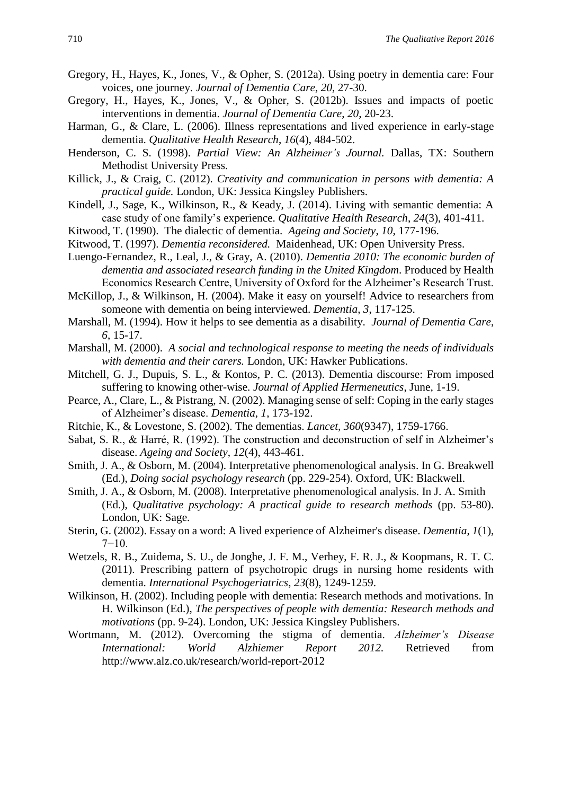- Gregory, H., Hayes, K., Jones, V., & Opher, S. (2012a). Using poetry in dementia care: Four voices, one journey. *Journal of Dementia Care*, *20*, 27-30.
- Gregory, H., Hayes, K., Jones, V., & Opher, S. (2012b). Issues and impacts of poetic interventions in dementia. *Journal of Dementia Care*, *20*, 20-23.
- Harman, G., & Clare, L. (2006). Illness representations and lived experience in early-stage dementia. *Qualitative Health Research*, *16*(4), 484-502.
- Henderson, C. S. (1998). *Partial View: An Alzheimer's Journal.* Dallas, TX: Southern Methodist University Press.
- Killick, J., & Craig, C. (2012). *Creativity and communication in persons with dementia: A practical guide.* London, UK: Jessica Kingsley Publishers.
- Kindell, J., Sage, K., Wilkinson, R., & Keady, J. (2014). Living with semantic dementia: A case study of one family's experience. *Qualitative Health Research*, *24*(3), 401-411.
- Kitwood, T. (1990). The dialectic of dementia. *Ageing and Society*, *10*, 177-196.
- Kitwood, T. (1997). *Dementia reconsidered.* Maidenhead, UK: Open University Press.
- Luengo-Fernandez, R., Leal, J., & Gray, A. (2010). *Dementia 2010: The economic burden of dementia and associated research funding in the United Kingdom*. Produced by Health Economics Research Centre, University of Oxford for the Alzheimer's Research Trust.
- McKillop, J., & Wilkinson, H. (2004). Make it easy on yourself! Advice to researchers from someone with dementia on being interviewed. *Dementia*, *3*, 117-125.
- Marshall, M. (1994). How it helps to see dementia as a disability. *Journal of Dementia Care*, *6*, 15-17.
- Marshall, M. (2000). *A social and technological response to meeting the needs of individuals with dementia and their carers.* London, UK: Hawker Publications.
- Mitchell, G. J., Dupuis, S. L., & Kontos, P. C. (2013). Dementia discourse: From imposed suffering to knowing other-wise. *Journal of Applied Hermeneutics*, June, 1-19.
- Pearce, A., Clare, L., & Pistrang, N. (2002). Managing sense of self: Coping in the early stages of Alzheimer's disease. *Dementia*, *1*, 173-192.
- Ritchie, K., & Lovestone, S. (2002). The dementias. *Lancet, 360*(9347), 1759-1766.
- Sabat, S. R., & Harré, R. (1992). The construction and deconstruction of self in Alzheimer's disease. *Ageing and Society*, *12*(4), 443-461.
- Smith, J. A., & Osborn, M. (2004). Interpretative phenomenological analysis. In G. Breakwell (Ed.), *Doing social psychology research* (pp. 229-254). Oxford, UK: Blackwell.
- Smith, J. A., & Osborn, M. (2008). Interpretative phenomenological analysis. In J. A. Smith (Ed.), *Qualitative psychology: A practical guide to research methods* (pp. 53-80). London, UK: Sage.
- Sterin, G. (2002). Essay on a word: A lived experience of Alzheimer's disease. *Dementia*, *1*(1),  $7-10.$
- Wetzels, R. B., Zuidema, S. U., de Jonghe, J. F. M., Verhey, F. R. J., & Koopmans, R. T. C. (2011). Prescribing pattern of psychotropic drugs in nursing home residents with dementia. *International Psychogeriatrics*, *23*(8), 1249-1259.
- Wilkinson, H. (2002). Including people with dementia: Research methods and motivations. In H. Wilkinson (Ed.), *The perspectives of people with dementia: Research methods and motivations* (pp. 9-24). London, UK: Jessica Kingsley Publishers.
- Wortmann, M. (2012). Overcoming the stigma of dementia. *Alzheimer's Disease International: World Alzhiemer Report 2012.* Retrieved from http://www.alz.co.uk/research/world-report-2012